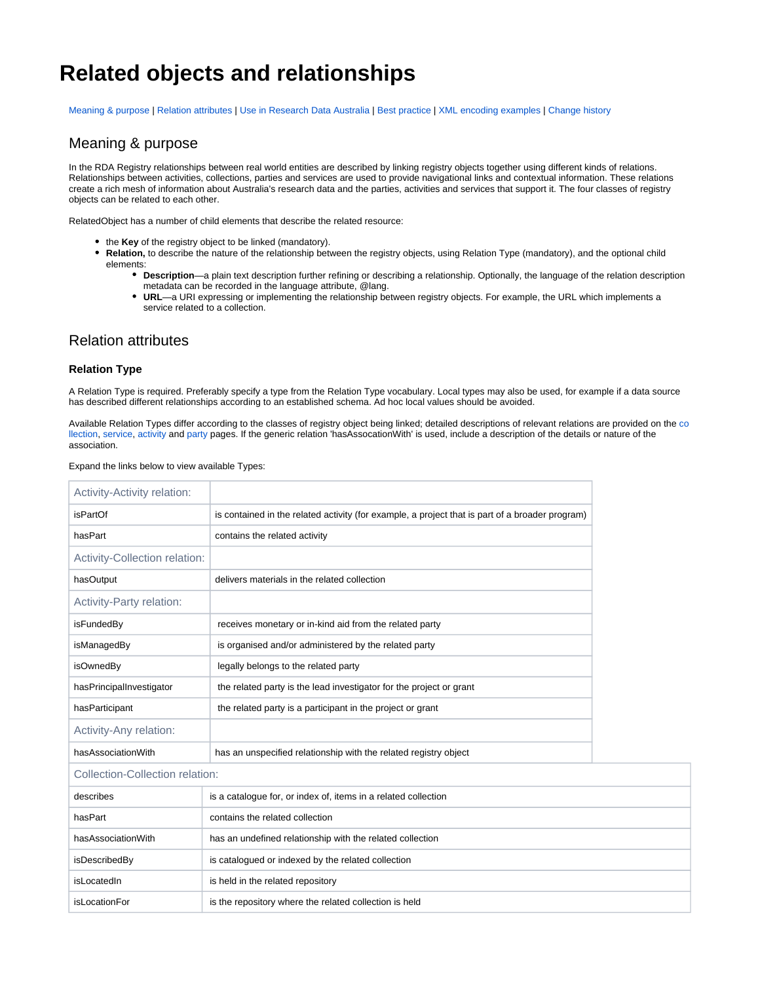# **Related objects and relationships**

[Meaning & purpose](#page-0-0) | [Relation attributes](#page-0-1) | [Use in Research Data Australia](#page-2-0) | [Best practice](#page-3-0) | [XML encoding examples](#page-4-0) | [Change history](#page-5-0)

## <span id="page-0-0"></span>Meaning & purpose

In the RDA Registry relationships between real world entities are described by linking registry objects together using different kinds of relations. Relationships between activities, collections, parties and services are used to provide navigational links and contextual information. These relations create a rich mesh of information about Australia's research data and the parties, activities and services that support it. The four classes of registry objects can be related to each other.

RelatedObject has a number of child elements that describe the related resource:

- the **Key** of the registry object to be linked (mandatory).
	- **Relation,** to describe the nature of the relationship between the registry objects, using Relation Type (mandatory), and the optional child elements:
		- **Description**—a plain text description further refining or describing a relationship. Optionally, the language of the relation description metadata can be recorded in the language attribute, @lang.
		- **URL**—a URI expressing or implementing the relationship between registry objects. For example, the URL which implements a service related to a collection.

## <span id="page-0-1"></span>Relation attributes

#### **Relation Type**

A Relation Type is required. Preferably specify a type from the Relation Type vocabulary. Local types may also be used, for example if a data source has described different relationships according to an established schema. Ad hoc local values should be avoided.

Available Relation Types differ according to the classes of registry object being linked; detailed descriptions of relevant relations are provided on the [co](https://intranet.ands.org.au/display/DOC/Collection) [llection,](https://intranet.ands.org.au/display/DOC/Collection) [service,](https://intranet.ands.org.au/display/DOC/Service) [activity](https://intranet.ands.org.au/display/DOC/Activity) and [party](https://intranet.ands.org.au/display/DOC/Party) pages. If the generic relation 'hasAssocationWith' is used, include a description of the details or nature of the association.

|  |  | Expand the links below to view available Types: |  |
|--|--|-------------------------------------------------|--|
|  |  |                                                 |  |

| <b>Activity-Activity relation:</b> |                                                                                                 |
|------------------------------------|-------------------------------------------------------------------------------------------------|
| <i>isPartOf</i>                    | is contained in the related activity (for example, a project that is part of a broader program) |
| hasPart                            | contains the related activity                                                                   |
| Activity-Collection relation:      |                                                                                                 |
| hasOutput                          | delivers materials in the related collection                                                    |
| Activity-Party relation:           |                                                                                                 |
| isFundedBy                         | receives monetary or in-kind aid from the related party                                         |
| isManagedBy                        | is organised and/or administered by the related party                                           |
| isOwnedBy                          | legally belongs to the related party                                                            |
| hasPrincipalInvestigator           | the related party is the lead investigator for the project or grant                             |
| hasParticipant                     | the related party is a participant in the project or grant                                      |
| Activity-Any relation:             |                                                                                                 |
| hasAssociationWith                 | has an unspecified relationship with the related registry object                                |
| Collection-Collection relation:    |                                                                                                 |
| describes                          | is a catalogue for, or index of, items in a related collection                                  |
| hasPart                            | contains the related collection                                                                 |
| hasAssociationWith                 | has an undefined relationship with the related collection                                       |
| isDescribedBy                      | is catalogued or indexed by the related collection                                              |
| isLocatedIn                        | is held in the related repository                                                               |
| <i>isLocationFor</i>               | is the repository where the related collection is held                                          |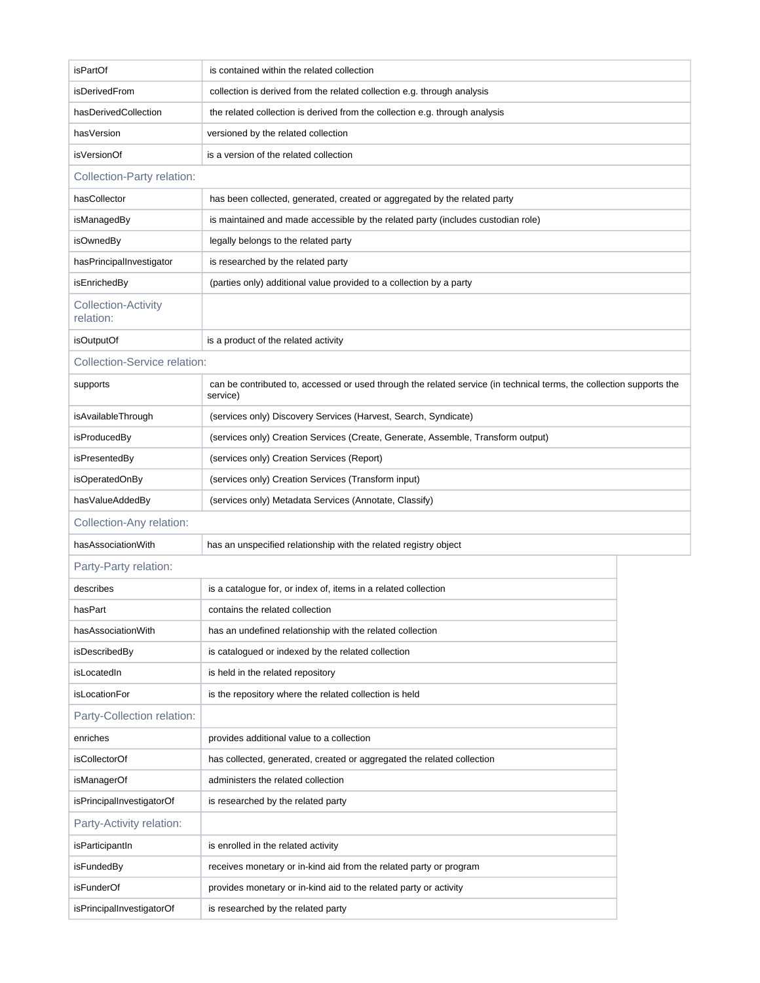| <i>isPartOf</i>                         | is contained within the related collection                                                                                       |  |  |
|-----------------------------------------|----------------------------------------------------------------------------------------------------------------------------------|--|--|
| isDerivedFrom                           | collection is derived from the related collection e.g. through analysis                                                          |  |  |
| hasDerivedCollection                    | the related collection is derived from the collection e.g. through analysis                                                      |  |  |
| hasVersion                              | versioned by the related collection                                                                                              |  |  |
| isVersionOf                             | is a version of the related collection                                                                                           |  |  |
| Collection-Party relation:              |                                                                                                                                  |  |  |
| hasCollector                            | has been collected, generated, created or aggregated by the related party                                                        |  |  |
| isManagedBy                             | is maintained and made accessible by the related party (includes custodian role)                                                 |  |  |
| isOwnedBy                               | legally belongs to the related party                                                                                             |  |  |
| hasPrincipalInvestigator                | is researched by the related party                                                                                               |  |  |
| isEnrichedBy                            | (parties only) additional value provided to a collection by a party                                                              |  |  |
| <b>Collection-Activity</b><br>relation: |                                                                                                                                  |  |  |
| isOutputOf                              | is a product of the related activity                                                                                             |  |  |
|                                         | <b>Collection-Service relation:</b>                                                                                              |  |  |
| supports                                | can be contributed to, accessed or used through the related service (in technical terms, the collection supports the<br>service) |  |  |
| isAvailableThrough                      | (services only) Discovery Services (Harvest, Search, Syndicate)                                                                  |  |  |
| isProducedBy                            | (services only) Creation Services (Create, Generate, Assemble, Transform output)                                                 |  |  |
| isPresentedBy                           | (services only) Creation Services (Report)                                                                                       |  |  |
| isOperatedOnBy                          | (services only) Creation Services (Transform input)                                                                              |  |  |
| hasValueAddedBy                         | (services only) Metadata Services (Annotate, Classify)                                                                           |  |  |
| Collection-Any relation:                |                                                                                                                                  |  |  |
| hasAssociationWith                      | has an unspecified relationship with the related registry object                                                                 |  |  |
| Party-Party relation:                   |                                                                                                                                  |  |  |
| describes                               | is a catalogue for, or index of, items in a related collection                                                                   |  |  |
| hasPart                                 | contains the related collection                                                                                                  |  |  |
| hasAssociationWith                      | has an undefined relationship with the related collection                                                                        |  |  |
| isDescribedBy                           | is catalogued or indexed by the related collection                                                                               |  |  |
| isLocatedIn                             | is held in the related repository                                                                                                |  |  |
| <b>isLocationFor</b>                    | is the repository where the related collection is held                                                                           |  |  |
| Party-Collection relation:              |                                                                                                                                  |  |  |
| enriches                                | provides additional value to a collection                                                                                        |  |  |
| isCollectorOf                           | has collected, generated, created or aggregated the related collection                                                           |  |  |
| isManagerOf                             | administers the related collection                                                                                               |  |  |
| isPrincipalInvestigatorOf               | is researched by the related party                                                                                               |  |  |
| Party-Activity relation:                |                                                                                                                                  |  |  |
| isParticipantIn                         | is enrolled in the related activity                                                                                              |  |  |
| isFundedBy                              | receives monetary or in-kind aid from the related party or program                                                               |  |  |
| isFunderOf                              | provides monetary or in-kind aid to the related party or activity                                                                |  |  |
|                                         |                                                                                                                                  |  |  |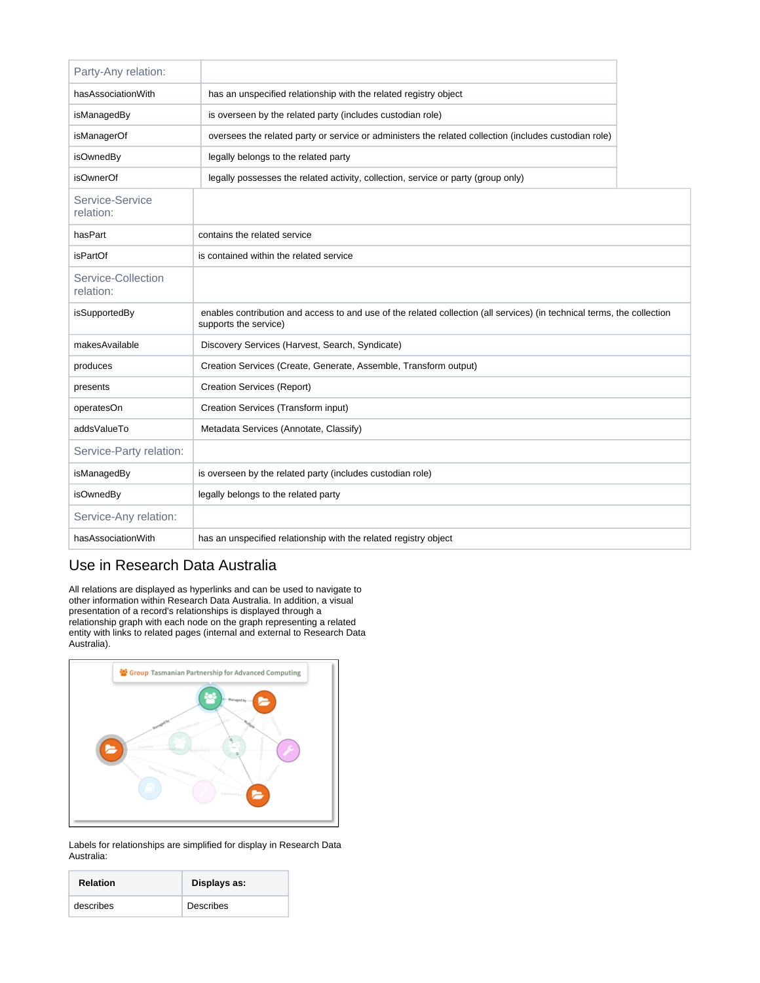| Party-Any relation:                                                       |                                                                                                                                                  |  |
|---------------------------------------------------------------------------|--------------------------------------------------------------------------------------------------------------------------------------------------|--|
| hasAssociationWith                                                        | has an unspecified relationship with the related registry object                                                                                 |  |
| isManagedBy<br>is overseen by the related party (includes custodian role) |                                                                                                                                                  |  |
| isManagerOf                                                               | oversees the related party or service or administers the related collection (includes custodian role)                                            |  |
| <i>isOwnedBy</i>                                                          | legally belongs to the related party                                                                                                             |  |
| <b>isOwnerOf</b>                                                          | legally possesses the related activity, collection, service or party (group only)                                                                |  |
| Service-Service<br>relation:                                              |                                                                                                                                                  |  |
| hasPart                                                                   | contains the related service                                                                                                                     |  |
| <i>isPartOf</i>                                                           | is contained within the related service                                                                                                          |  |
| Service-Collection<br>relation:                                           |                                                                                                                                                  |  |
|                                                                           |                                                                                                                                                  |  |
| isSupportedBy                                                             | enables contribution and access to and use of the related collection (all services) (in technical terms, the collection<br>supports the service) |  |
| makesAvailable                                                            | Discovery Services (Harvest, Search, Syndicate)                                                                                                  |  |
| produces                                                                  | Creation Services (Create, Generate, Assemble, Transform output)                                                                                 |  |
| presents                                                                  | Creation Services (Report)                                                                                                                       |  |
| operatesOn                                                                | Creation Services (Transform input)                                                                                                              |  |
| addsValueTo                                                               | Metadata Services (Annotate, Classify)                                                                                                           |  |
| Service-Party relation:                                                   |                                                                                                                                                  |  |
| isManagedBy                                                               | is overseen by the related party (includes custodian role)                                                                                       |  |
| isOwnedBy                                                                 | legally belongs to the related party                                                                                                             |  |
| Service-Any relation:                                                     |                                                                                                                                                  |  |
| hasAssociationWith                                                        | has an unspecified relationship with the related registry object                                                                                 |  |

## <span id="page-2-0"></span>Use in Research Data Australia

All relations are displayed as hyperlinks and can be used to navigate to other information within Research Data Australia. In addition, a visual presentation of a record's relationships is displayed through a relationship graph with each node on the graph representing a related entity with links to related pages (internal and external to Research Data Australia).



Labels for relationships are simplified for display in Research Data Australia:

| <b>Relation</b> | Displays as: |
|-----------------|--------------|
| describes       | Describes    |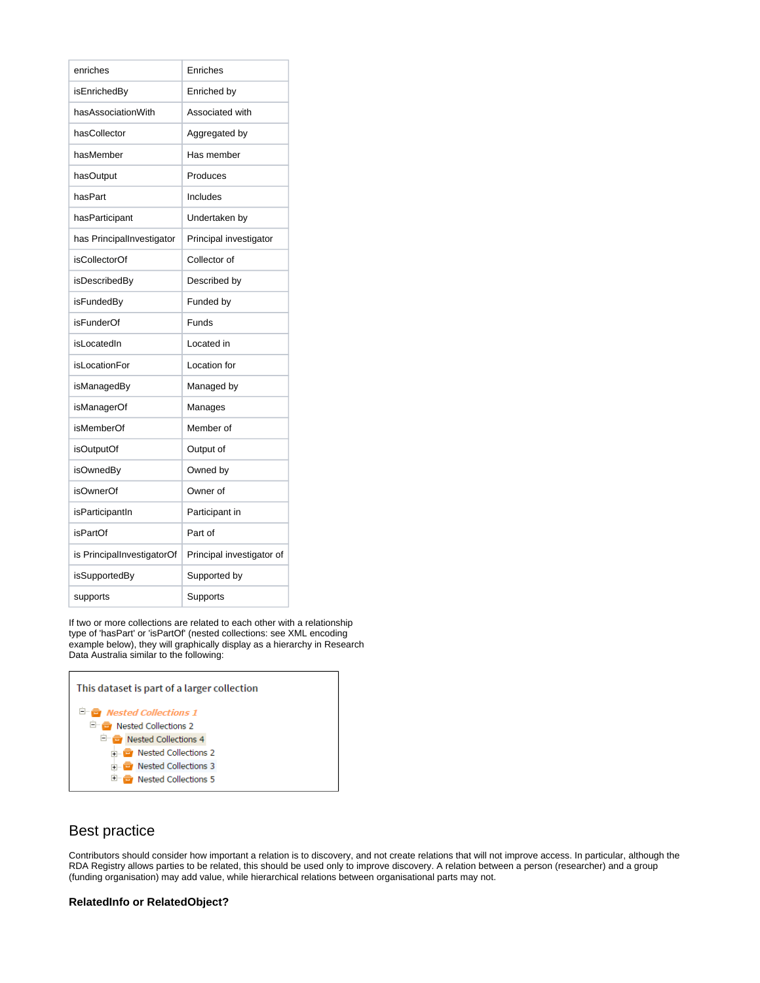| enriches                   | Enriches                  |
|----------------------------|---------------------------|
| isEnrichedBy               | Enriched by               |
| hasAssociationWith         | Associated with           |
| hasCollector               | Aggregated by             |
| hasMember                  | Has member                |
| hasOutput                  | Produces                  |
| hasPart                    | Includes                  |
| hasParticipant             | Undertaken by             |
| has PrincipalInvestigator  | Principal investigator    |
| isCollectorOf              | Collector of              |
| isDescribedBy              | Described by              |
| isFundedBy                 | Funded by                 |
| isFunderOf                 | Funds                     |
| isLocatedIn                | Located in                |
| <b>isLocationFor</b>       | Location for              |
| isManagedBy                | Managed by                |
| isManagerOf                | Manages                   |
| <i>isMemberOf</i>          | Member of                 |
| isOutputOf                 | Output of                 |
| isOwnedBy                  | Owned by                  |
| isOwnerOf                  | Owner of                  |
| isParticipantIn            | Participant in            |
| <b>isPartOf</b>            | Part of                   |
| is PrincipalInvestigatorOf | Principal investigator of |
| isSupportedBy              | Supported by              |
| supports                   | Supports                  |

If two or more collections are related to each other with a relationship type of 'hasPart' or 'isPartOf' (nested collections: see XML encoding example below), they will graphically display as a hierarchy in Research Data Australia similar to the following:

| This dataset is part of a larger collection |  |
|---------------------------------------------|--|
| <sup>日</sup> · a Nested Collections 1       |  |
| Rested Collections 2                        |  |
| <b>Nested Collections 4</b><br>- 8          |  |
| in <b>E</b> Nested Collections 2            |  |
| <b>E</b> Nested Collections 3               |  |
| $\blacksquare$ Nested Collections 5         |  |

## <span id="page-3-0"></span>Best practice

 $\Gamma$ 

Contributors should consider how important a relation is to discovery, and not create relations that will not improve access. In particular, although the RDA Registry allows parties to be related, this should be used only to improve discovery. A relation between a person (researcher) and a group (funding organisation) may add value, while hierarchical relations between organisational parts may not.

### **RelatedInfo or RelatedObject?**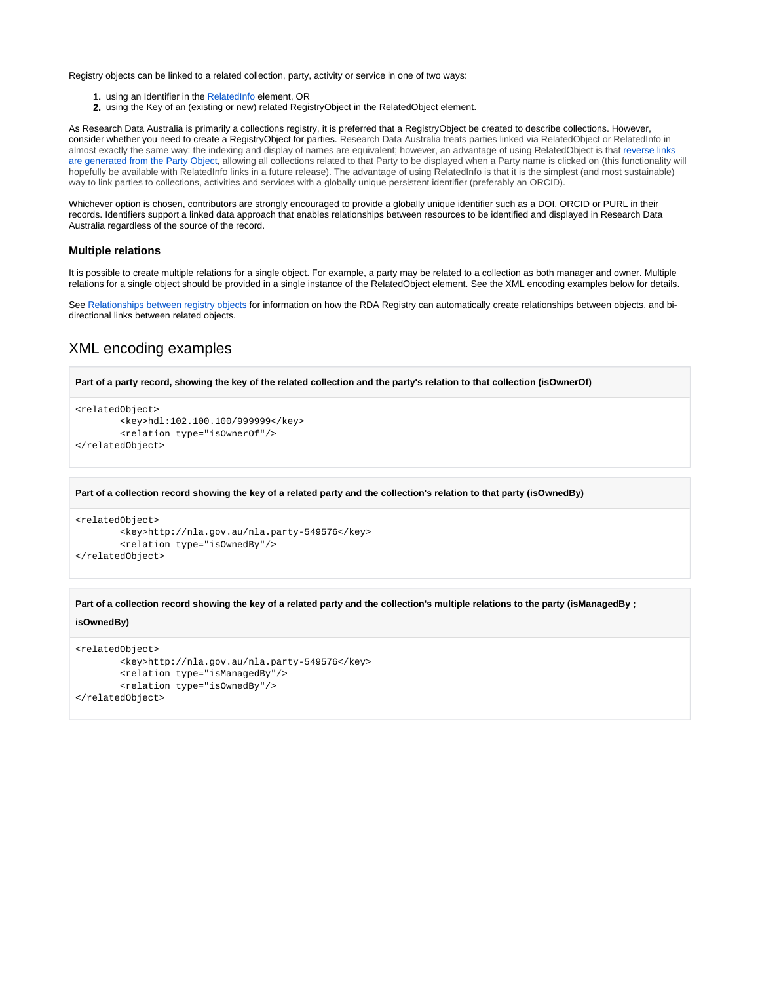Registry objects can be linked to a related collection, party, activity or service in one of two ways:

- 1. using an Identifier in the [RelatedInfo](https://intranet.ands.org.au/display/DOC/Related+information) element, OR
- 2. using the Key of an (existing or new) related RegistryObject in the RelatedObject element.

As Research Data Australia is primarily a collections registry, it is preferred that a RegistryObject be created to describe collections. However, consider whether you need to create a RegistryObject for parties. Research Data Australia treats parties linked via RelatedObject or RelatedInfo in almost exactly the same way: the indexing and display of names are equivalent; however, an advantage of using RelatedObject is that [reverse links](https://intranet.ands.org.au/display/DOC/Research+Data+Australia+Functionality+and+Display)  [are generated from the Party Object](https://intranet.ands.org.au/display/DOC/Research+Data+Australia+Functionality+and+Display), allowing all collections related to that Party to be displayed when a Party name is clicked on (this functionality will hopefully be available with RelatedInfo links in a future release). The advantage of using RelatedInfo is that it is the simplest (and most sustainable) way to link parties to collections, activities and services with a globally unique persistent identifier (preferably an ORCID).

Whichever option is chosen, contributors are strongly encouraged to provide a globally unique identifier such as a DOI, ORCID or PURL in their records. Identifiers support a linked data approach that enables relationships between resources to be identified and displayed in Research Data Australia regardless of the source of the record.

#### **Multiple relations**

It is possible to create multiple relations for a single object. For example, a party may be related to a collection as both manager and owner. Multiple relations for a single object should be provided in a single instance of the RelatedObject element. See the XML encoding examples below for details.

See [Relationships between registry objects](https://intranet.ands.org.au/display/DOC/Research+Data+Australia+Functionality+and+Display) for information on how the RDA Registry can automatically create relationships between objects, and bidirectional links between related objects.

## <span id="page-4-0"></span>XML encoding examples

```
Part of a party record, showing the key of the related collection and the party's relation to that collection (isOwnerOf)
<relatedObject>
```

```
 <key>hdl:102.100.100/999999</key> 
         <relation type="isOwnerOf"/> 
</relatedObject>
```
**Part of a collection record showing the key of a related party and the collection's relation to that party (isOwnedBy)**

```
<relatedObject>
         <key>http://nla.gov.au/nla.party-549576</key> 
         <relation type="isOwnedBy"/> 
</relatedObject>
```
**Part of a collection record showing the key of a related party and the collection's multiple relations to the party (isManagedBy ;** 

#### **isOwnedBy)**

```
<relatedObject>
         <key>http://nla.gov.au/nla.party-549576</key> 
         <relation type="isManagedBy"/>
         <relation type="isOwnedBy"/>
</relatedObject>
```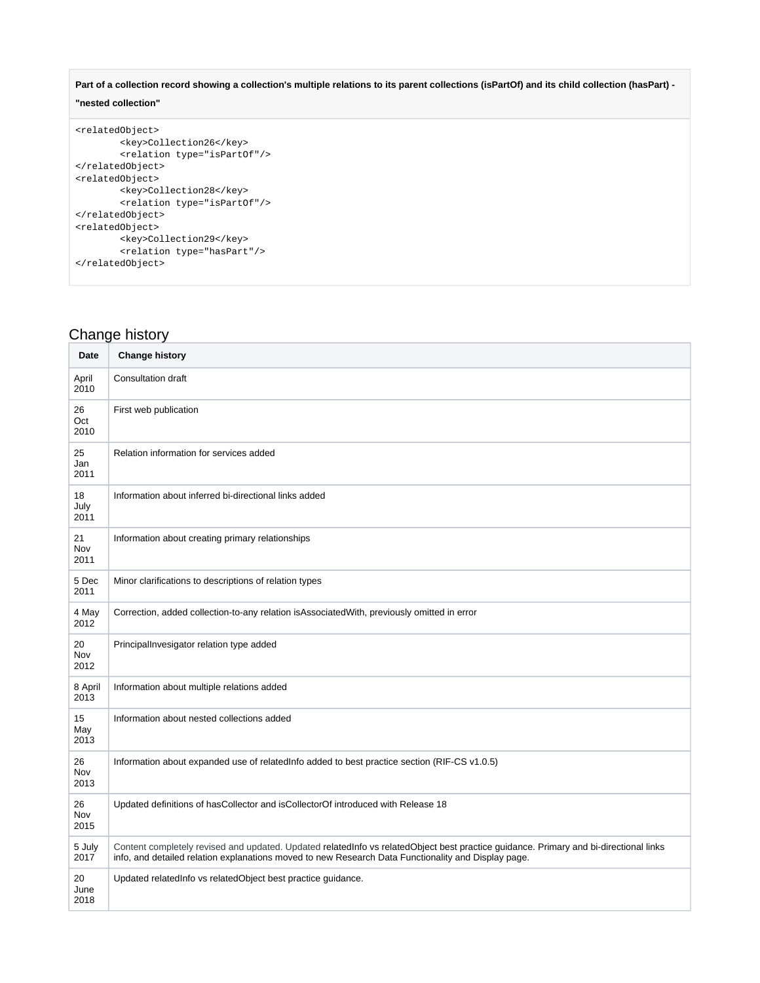Part of a collection record showing a collection's multiple relations to its parent collections (isPartOf) and its child collection (hasPart) -

### **"nested collection"**

```
<relatedObject>
        <key>Collection26</key>
         <relation type="isPartOf"/>
</relatedObject>
<relatedObject>
         <key>Collection28</key>
         <relation type="isPartOf"/>
</relatedObject>
<relatedObject>
         <key>Collection29</key>
         <relation type="hasPart"/>
</relatedObject>
```
# <span id="page-5-0"></span>Change history

| Date               | <b>Change history</b>                                                                                                                                                                                                                        |
|--------------------|----------------------------------------------------------------------------------------------------------------------------------------------------------------------------------------------------------------------------------------------|
| April<br>2010      | <b>Consultation draft</b>                                                                                                                                                                                                                    |
| 26<br>Oct<br>2010  | First web publication                                                                                                                                                                                                                        |
| 25<br>Jan<br>2011  | Relation information for services added                                                                                                                                                                                                      |
| 18<br>July<br>2011 | Information about inferred bi-directional links added                                                                                                                                                                                        |
| 21<br>Nov<br>2011  | Information about creating primary relationships                                                                                                                                                                                             |
| 5 Dec<br>2011      | Minor clarifications to descriptions of relation types                                                                                                                                                                                       |
| 4 May<br>2012      | Correction, added collection-to-any relation isAssociatedWith, previously omitted in error                                                                                                                                                   |
| 20<br>Nov<br>2012  | PrincipalInvesigator relation type added                                                                                                                                                                                                     |
| 8 April<br>2013    | Information about multiple relations added                                                                                                                                                                                                   |
| 15<br>May<br>2013  | Information about nested collections added                                                                                                                                                                                                   |
| 26<br>Nov<br>2013  | Information about expanded use of relatedInfo added to best practice section (RIF-CS v1.0.5)                                                                                                                                                 |
| 26<br>Nov<br>2015  | Updated definitions of hasCollector and isCollectorOf introduced with Release 18                                                                                                                                                             |
| 5 July<br>2017     | Content completely revised and updated. Updated relatedInfo vs relatedObject best practice guidance. Primary and bi-directional links<br>info, and detailed relation explanations moved to new Research Data Functionality and Display page. |
| 20<br>June<br>2018 | Updated relatedInfo vs relatedObject best practice guidance.                                                                                                                                                                                 |